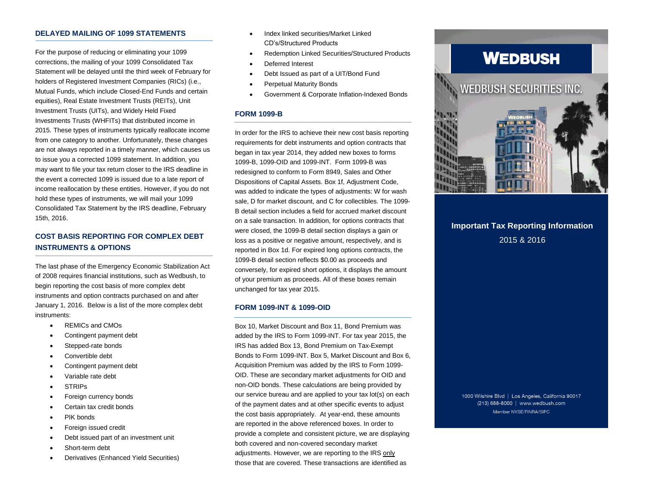#### **DELAYED MAILING OF 1099 STATEMENTS**

For the purpose of reducing or eliminating your 1099 corrections, the mailing of your 1099 Consolidated Tax Statement will be delayed until the third week of February for holders of Registered Investment Companies (RICs) (i.e., Mutual Funds, which include Closed-End Funds and certain equities), Real Estate Investment Trusts (REITs), Unit Investment Trusts (UITs), and Widely Held Fixed Investments Trusts (WHFITs) that distributed income in 2015. These types of instruments typically reallocate income from one category to another. Unfortunately, these changes are not always reported in a timely manner, which causes us to issue you a corrected 1099 statement. In addition, you may want to file your tax return closer to the IRS deadline in the event a corrected 1099 is issued due to a late report of income reallocation by these entities. However, if you do not hold these types of instruments, we will mail your 1099 Consolidated Tax Statement by the IRS deadline, February 15th, 2016.

# **COST BASIS REPORTING FOR COMPLEX DEBT INSTRUMENTS & OPTIONS**

The last phase of the Emergency Economic Stabilization Act of 2008 requires financial institutions, such as Wedbush, to begin reporting the cost basis of more complex debt instruments and option contracts purchased on and after January 1, 2016. Below is a list of the more complex debt instruments:

- REMICs and CMOs
- Contingent payment debt
- Stepped-rate bonds
- Convertible debt
- Contingent payment debt
- Variable rate debt
- **STRIPs**
- Foreign currency bonds
- Certain tax credit bonds
- PIK bonds
- Foreign issued credit
- Debt issued part of an investment unit
- Short-term debt
- Derivatives (Enhanced Yield Securities)
- Index linked securities/Market Linked CD's/Structured Products
- Redemption Linked Securities/Structured Products
- Deferred Interest
- Debt Issued as part of a UIT/Bond Fund
- Perpetual Maturity Bonds
- Government & Corporate Inflation-Indexed Bonds

#### **FORM 1099-B**

In order for the IRS to achieve their new cost basis reporting requirements for debt instruments and option contracts that began in tax year 2014, they added new boxes to forms 1099-B, 1099-OID and 1099-INT. Form 1099-B was redesigned to conform to Form 8949, Sales and Other Dispositions of Capital Assets. Box 1f, Adjustment Code, was added to indicate the types of adjustments: W for wash sale, D for market discount, and C for collectibles. The 1099- B detail section includes a field for accrued market discount on a sale transaction. In addition, for options contracts that were closed, the 1099-B detail section displays a gain or loss as a positive or negative amount, respectively, and is reported in Box 1d. For expired long options contracts, the 1099-B detail section reflects \$0.00 as proceeds and conversely, for expired short options, it displays the amount of your premium as proceeds. All of these boxes remain unchanged for tax year 2015.

#### **FORM 1099-INT & 1099-OID**

Box 10, Market Discount and Box 11, Bond Premium was added by the IRS to Form 1099-INT. For tax year 2015, the IRS has added Box 13, Bond Premium on Tax-Exempt Bonds to Form 1099-INT. Box 5, Market Discount and Box 6, Acquisition Premium was added by the IRS to Form 1099- OID. These are secondary market adjustments for OID and non-OID bonds. These calculations are being provided by our service bureau and are applied to your tax lot(s) on each of the payment dates and at other specific events to adjust the cost basis appropriately. At year-end, these amounts are reported in the above referenced boxes. In order to provide a complete and consistent picture, we are displaying both covered and non-covered secondary market adjustme*n*ts. However, we are reporting to the IRS only those that are covered. These transactions are identified as

# **WEDBUSH**



# **Important Tax Reporting Information** 2015 & 2016

1000 Wilshire Blvd | Los Angeles, California 90017 (213) 688-8000 | www.wedbush.com Member NYSE/FINRA/SIPC